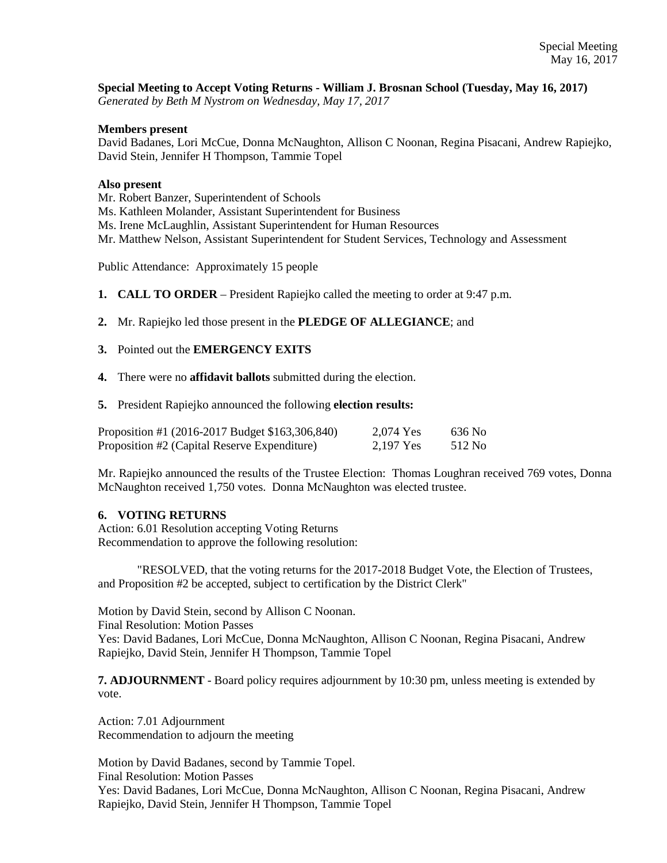**Special Meeting to Accept Voting Returns - William J. Brosnan School (Tuesday, May 16, 2017)** *Generated by Beth M Nystrom on Wednesday, May 17, 2017*

## **Members present**

David Badanes, Lori McCue, Donna McNaughton, Allison C Noonan, Regina Pisacani, Andrew Rapiejko, David Stein, Jennifer H Thompson, Tammie Topel

## **Also present**

Mr. Robert Banzer, Superintendent of Schools

Ms. Kathleen Molander, Assistant Superintendent for Business

Ms. Irene McLaughlin, Assistant Superintendent for Human Resources

Mr. Matthew Nelson, Assistant Superintendent for Student Services, Technology and Assessment

Public Attendance: Approximately 15 people

**1. CALL TO ORDER** – President Rapiejko called the meeting to order at 9:47 p.m.

**2.** Mr. Rapiejko led those present in the **PLEDGE OF ALLEGIANCE**; and

## **3.** Pointed out the **EMERGENCY EXITS**

**4.** There were no **affidavit ballots** submitted during the election.

**5.** President Rapiejko announced the following **election results:** 

| Proposition #1 (2016-2017 Budget \$163,306,840) | 2.074 Yes | 636 No  |
|-------------------------------------------------|-----------|---------|
| Proposition #2 (Capital Reserve Expenditure)    | 2.197 Yes | 512 No. |

Mr. Rapiejko announced the results of the Trustee Election: Thomas Loughran received 769 votes, Donna McNaughton received 1,750 votes. Donna McNaughton was elected trustee.

## **6. VOTING RETURNS**

Action: 6.01 Resolution accepting Voting Returns Recommendation to approve the following resolution:

"RESOLVED, that the voting returns for the 2017-2018 Budget Vote, the Election of Trustees, and Proposition #2 be accepted, subject to certification by the District Clerk"

Motion by David Stein, second by Allison C Noonan.

Final Resolution: Motion Passes

Yes: David Badanes, Lori McCue, Donna McNaughton, Allison C Noonan, Regina Pisacani, Andrew Rapiejko, David Stein, Jennifer H Thompson, Tammie Topel

**7. ADJOURNMENT** - Board policy requires adjournment by 10:30 pm, unless meeting is extended by vote.

Action: 7.01 Adjournment Recommendation to adjourn the meeting

Motion by David Badanes, second by Tammie Topel. Final Resolution: Motion Passes Yes: David Badanes, Lori McCue, Donna McNaughton, Allison C Noonan, Regina Pisacani, Andrew Rapiejko, David Stein, Jennifer H Thompson, Tammie Topel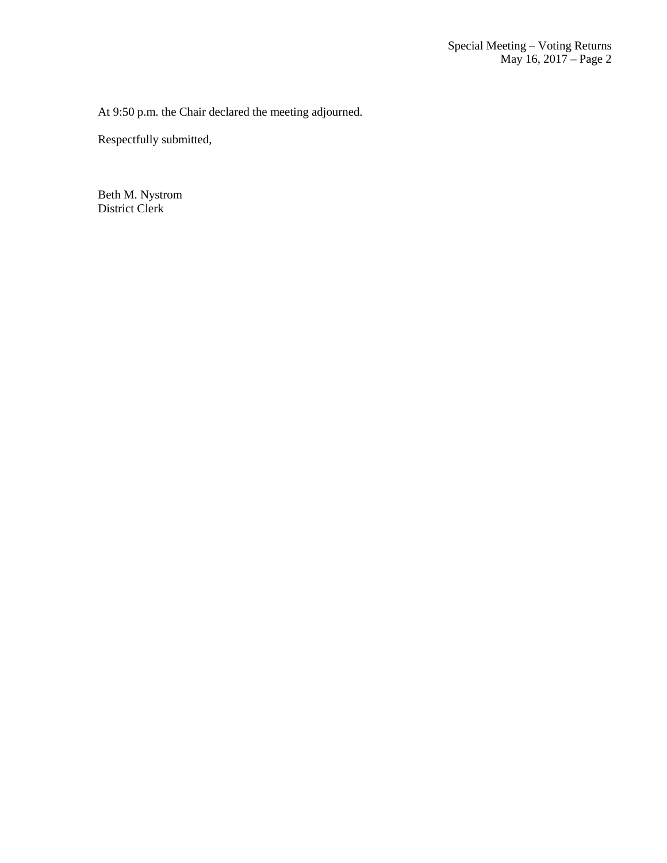At 9:50 p.m. the Chair declared the meeting adjourned.

Respectfully submitted,

Beth M. Nystrom District Clerk